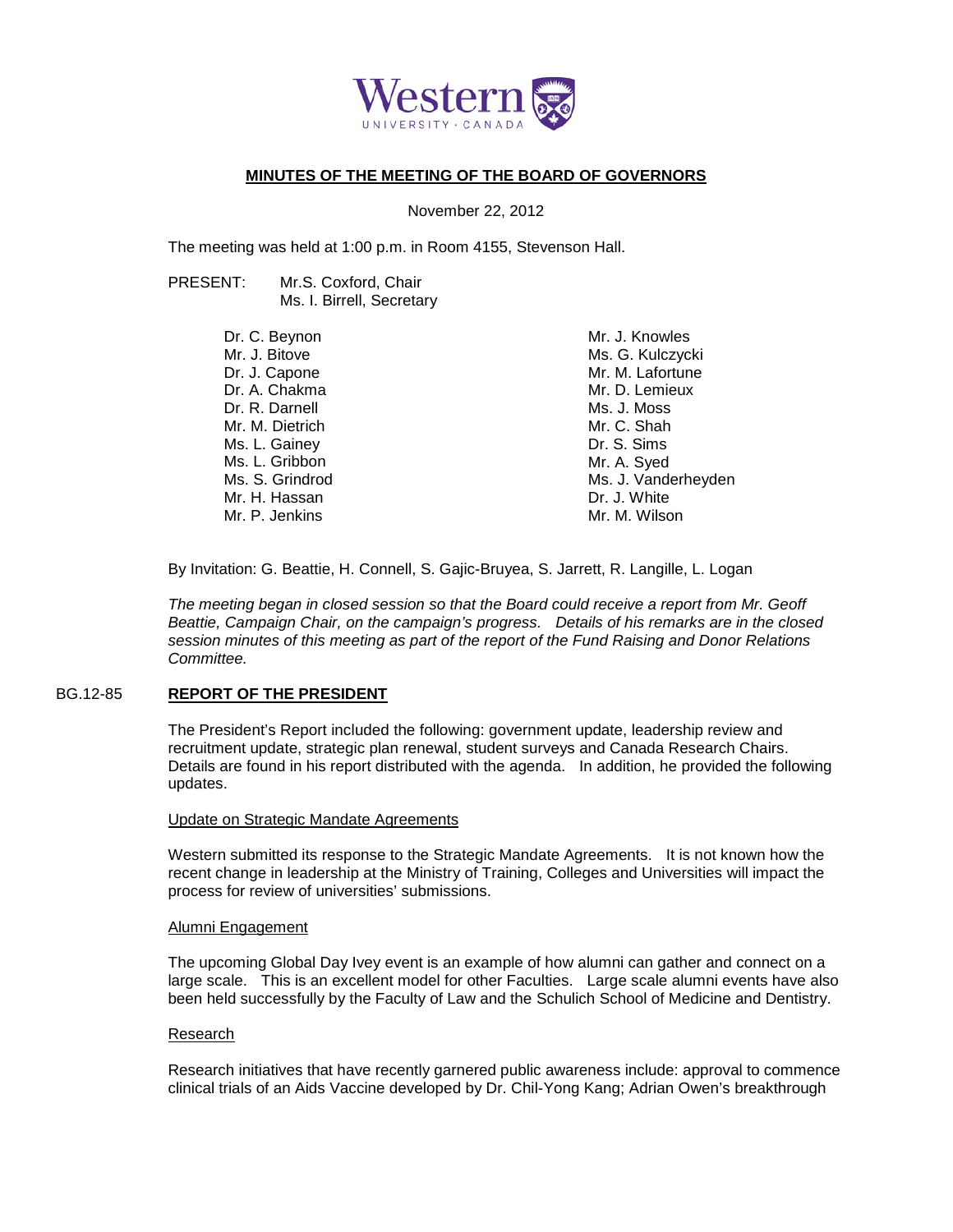

# **MINUTES OF THE MEETING OF THE BOARD OF GOVERNORS**

November 22, 2012

The meeting was held at 1:00 p.m. in Room 4155, Stevenson Hall.

PRESENT: Mr.S. Coxford, Chair Ms. I. Birrell, Secretary

| Dr. C. Beynon   | Mr. J. Knowles      |
|-----------------|---------------------|
| Mr. J. Bitove   | Ms. G. Kulczycki    |
| Dr. J. Capone   | Mr. M. Lafortune    |
| Dr. A. Chakma   | Mr. D. Lemieux      |
| Dr. R. Darnell  | Ms. J. Moss         |
| Mr. M. Dietrich | Mr. C. Shah         |
| Ms. L. Gainey   | Dr. S. Sims         |
| Ms. L. Gribbon  | Mr. A. Syed         |
| Ms. S. Grindrod | Ms. J. Vanderheyden |
| Mr. H. Hassan   | Dr. J. White        |
| Mr. P. Jenkins  | Mr. M. Wilson       |
|                 |                     |

By Invitation: G. Beattie, H. Connell, S. Gajic-Bruyea, S. Jarrett, R. Langille, L. Logan

*The meeting began in closed session so that the Board could receive a report from Mr. Geoff Beattie, Campaign Chair, on the campaign's progress. Details of his remarks are in the closed session minutes of this meeting as part of the report of the Fund Raising and Donor Relations Committee.*

## BG.12-85 **REPORT OF THE PRESIDENT**

The President's Report included the following: government update, leadership review and recruitment update, strategic plan renewal, student surveys and Canada Research Chairs. Details are found in his report distributed with the agenda. In addition, he provided the following updates.

### Update on Strategic Mandate Agreements

Western submitted its response to the Strategic Mandate Agreements. It is not known how the recent change in leadership at the Ministry of Training, Colleges and Universities will impact the process for review of universities' submissions.

### Alumni Engagement

The upcoming Global Day Ivey event is an example of how alumni can gather and connect on a large scale. This is an excellent model for other Faculties. Large scale alumni events have also been held successfully by the Faculty of Law and the Schulich School of Medicine and Dentistry.

### Research

Research initiatives that have recently garnered public awareness include: approval to commence clinical trials of an Aids Vaccine developed by Dr. Chil-Yong Kang; Adrian Owen's breakthrough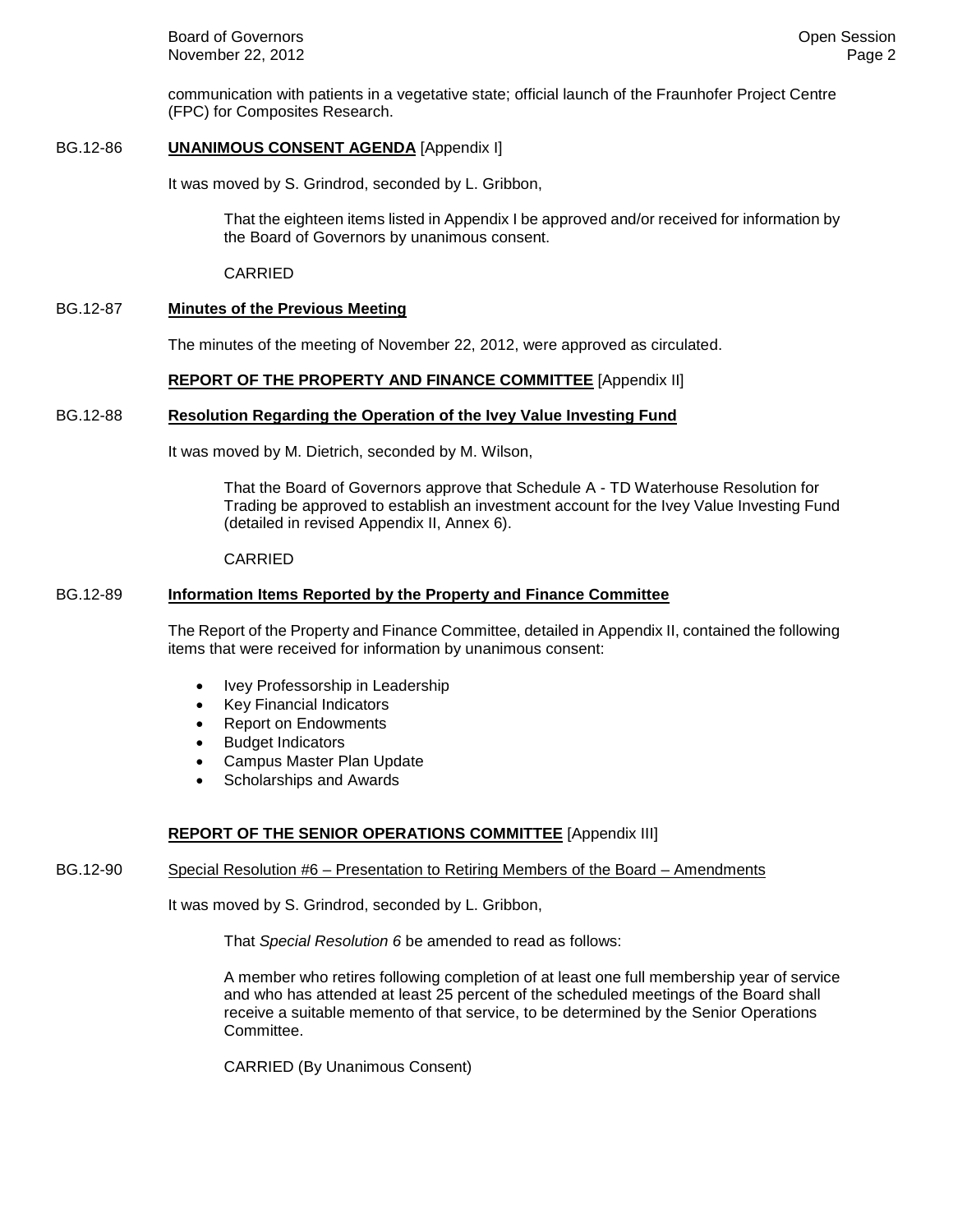**Board of Governors Contract Contract Contract Contract Contract Contract Contract Contract Contract Contract Contract Contract Contract Contract Contract Contract Contract Contract Contract Contract Contract Contract Co** November 22, 2012 **Page 2** Page 2

communication with patients in a vegetative state; official launch of the Fraunhofer Project Centre (FPC) for Composites Research.

## BG.12-86 **UNANIMOUS CONSENT AGENDA** [Appendix I]

It was moved by S. Grindrod, seconded by L. Gribbon,

That the eighteen items listed in Appendix I be approved and/or received for information by the Board of Governors by unanimous consent.

CARRIED

# BG.12-87 **Minutes of the Previous Meeting**

The minutes of the meeting of November 22, 2012, were approved as circulated.

## **REPORT OF THE PROPERTY AND FINANCE COMMITTEE** [Appendix II]

## BG.12-88 **Resolution Regarding the Operation of the Ivey Value Investing Fund**

It was moved by M. Dietrich, seconded by M. Wilson,

That the Board of Governors approve that Schedule A - TD Waterhouse Resolution for Trading be approved to establish an investment account for the Ivey Value Investing Fund (detailed in revised Appendix II, Annex 6).

### CARRIED

## BG.12-89 **Information Items Reported by the Property and Finance Committee**

The Report of the Property and Finance Committee, detailed in Appendix II, contained the following items that were received for information by unanimous consent:

- Ivey Professorship in Leadership
- Key Financial Indicators
- Report on Endowments
- Budget Indicators
- Campus Master Plan Update
- Scholarships and Awards

# **REPORT OF THE SENIOR OPERATIONS COMMITTEE** [Appendix III]

## BG.12-90 Special Resolution #6 – Presentation to Retiring Members of the Board – Amendments

It was moved by S. Grindrod, seconded by L. Gribbon,

That *Special Resolution 6* be amended to read as follows:

A member who retires following completion of at least one full membership year of service and who has attended at least 25 percent of the scheduled meetings of the Board shall receive a suitable memento of that service, to be determined by the Senior Operations Committee.

CARRIED (By Unanimous Consent)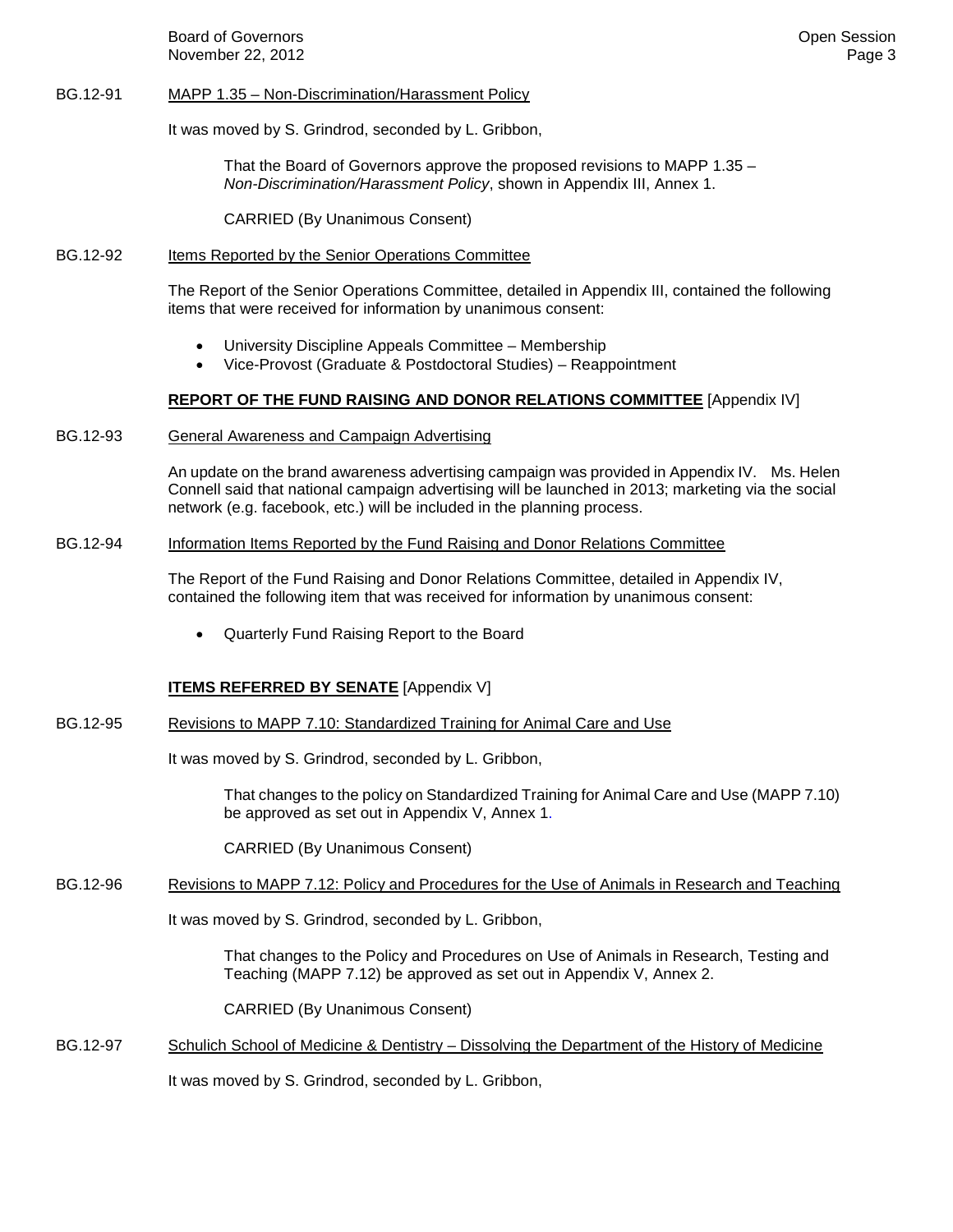Board of Governors **Community Community** Community Community Community Community Community Community Community Community Community Community Community Community Community Community Community Community Community Community C November 22, 2012 **Page 3** 

## BG.12-91 MAPP 1.35 – Non-Discrimination/Harassment Policy

It was moved by S. Grindrod, seconded by L. Gribbon,

That the Board of Governors approve the proposed revisions to MAPP 1.35 – *Non-Discrimination/Harassment Policy*, shown in Appendix III, Annex 1.

CARRIED (By Unanimous Consent)

### BG.12-92 Items Reported by the Senior Operations Committee

The Report of the Senior Operations Committee, detailed in Appendix III, contained the following items that were received for information by unanimous consent:

- University Discipline Appeals Committee Membership
- Vice-Provost (Graduate & Postdoctoral Studies) Reappointment

# **REPORT OF THE FUND RAISING AND DONOR RELATIONS COMMITTEE** [Appendix IV]

BG.12-93 General Awareness and Campaign Advertising

An update on the brand awareness advertising campaign was provided in Appendix IV. Ms. Helen Connell said that national campaign advertising will be launched in 2013; marketing via the social network (e.g. facebook, etc.) will be included in the planning process.

### BG.12-94 Information Items Reported by the Fund Raising and Donor Relations Committee

The Report of the Fund Raising and Donor Relations Committee, detailed in Appendix IV, contained the following item that was received for information by unanimous consent:

• Quarterly Fund Raising Report to the Board

# **ITEMS REFERRED BY SENATE** [Appendix V]

BG.12-95 Revisions to MAPP 7.10: Standardized Training for Animal Care and Use

It was moved by S. Grindrod, seconded by L. Gribbon,

That changes to the policy on Standardized Training for Animal Care and Use (MAPP 7.10) be approved as set out in Appendix V, Annex 1.

CARRIED (By Unanimous Consent)

## BG.12-96 Revisions to MAPP 7.12: Policy and Procedures for the Use of Animals in Research and Teaching

It was moved by S. Grindrod, seconded by L. Gribbon,

That changes to the Policy and Procedures on Use of Animals in Research, Testing and Teaching (MAPP 7.12) be approved as set out in Appendix V, Annex 2.

CARRIED (By Unanimous Consent)

BG.12-97 Schulich School of Medicine & Dentistry – Dissolving the Department of the History of Medicine

It was moved by S. Grindrod, seconded by L. Gribbon,